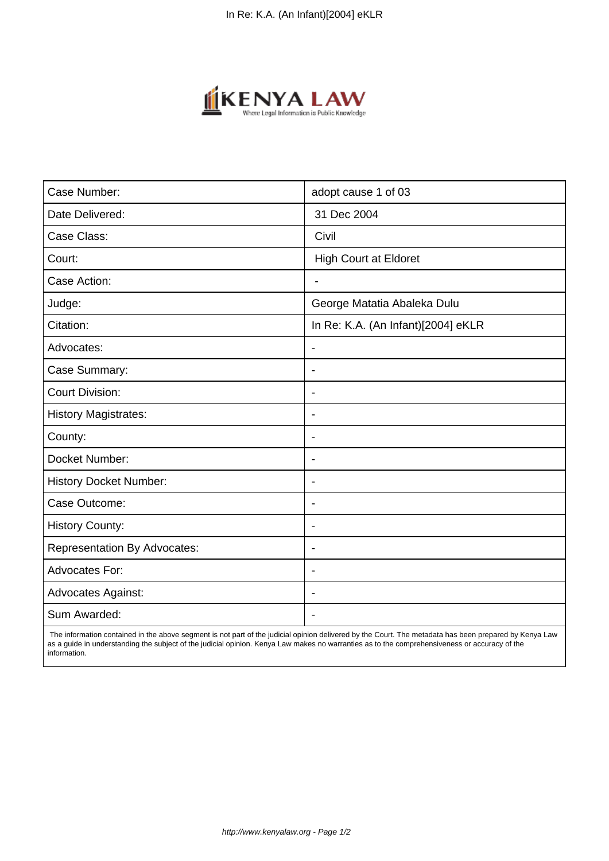

| Case Number:                        | adopt cause 1 of 03                |
|-------------------------------------|------------------------------------|
| Date Delivered:                     | 31 Dec 2004                        |
| Case Class:                         | Civil                              |
| Court:                              | <b>High Court at Eldoret</b>       |
| Case Action:                        |                                    |
| Judge:                              | George Matatia Abaleka Dulu        |
| Citation:                           | In Re: K.A. (An Infant)[2004] eKLR |
| Advocates:                          | $\overline{\phantom{a}}$           |
| Case Summary:                       | $\blacksquare$                     |
| <b>Court Division:</b>              | $\blacksquare$                     |
| <b>History Magistrates:</b>         | $\blacksquare$                     |
| County:                             | $\blacksquare$                     |
| Docket Number:                      | $\overline{\phantom{a}}$           |
| <b>History Docket Number:</b>       | $\overline{\phantom{0}}$           |
| Case Outcome:                       | $\blacksquare$                     |
| <b>History County:</b>              | $\blacksquare$                     |
| <b>Representation By Advocates:</b> | $\blacksquare$                     |
| <b>Advocates For:</b>               | $\overline{\phantom{a}}$           |
| <b>Advocates Against:</b>           | $\blacksquare$                     |
| Sum Awarded:                        |                                    |

 The information contained in the above segment is not part of the judicial opinion delivered by the Court. The metadata has been prepared by Kenya Law as a guide in understanding the subject of the judicial opinion. Kenya Law makes no warranties as to the comprehensiveness or accuracy of the information.